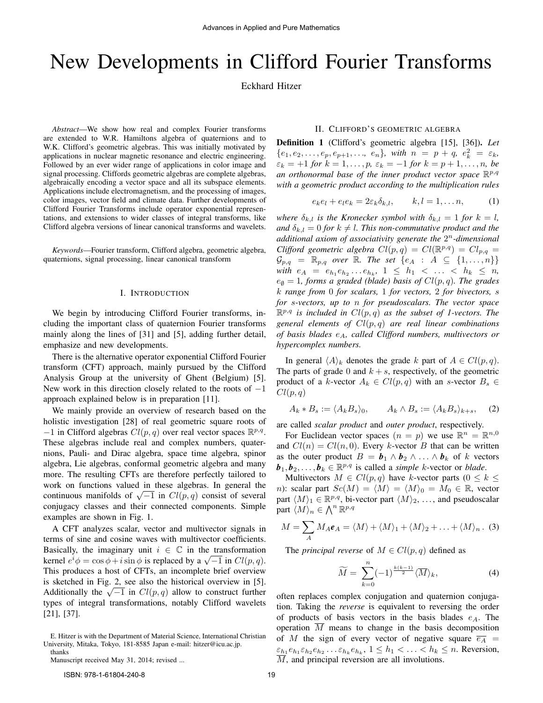# New Developments in Clifford Fourier Transforms

Eckhard Hitzer

*Abstract*—We show how real and complex Fourier transforms are extended to W.R. Hamiltons algebra of quaternions and to W.K. Clifford's geometric algebras. This was initially motivated by applications in nuclear magnetic resonance and electric engineering. Followed by an ever wider range of applications in color image and signal processing. Cliffords geometric algebras are complete algebras, algebraically encoding a vector space and all its subspace elements. Applications include electromagnetism, and the processing of images, color images, vector field and climate data. Further developments of Clifford Fourier Transforms include operator exponential representations, and extensions to wider classes of integral transforms, like Clifford algebra versions of linear canonical transforms and wavelets.

*Keywords*—Fourier transform, Clifford algebra, geometric algebra, quaternions, signal processing, linear canonical transform

## I. INTRODUCTION

We begin by introducing Clifford Fourier transforms, including the important class of quaternion Fourier transforms mainly along the lines of [31] and [5], adding further detail, emphasize and new developments.

There is the alternative operator exponential Clifford Fourier transform (CFT) approach, mainly pursued by the Clifford Analysis Group at the university of Ghent (Belgium) [5]. New work in this direction closely related to the roots of  $-1$ approach explained below is in preparation [11].

We mainly provide an overview of research based on the holistic investigation [28] of real geometric square roots of  $-1$  in Clifford algebras  $Cl(p, q)$  over real vector spaces  $\mathbb{R}^{p,q}$ . These algebras include real and complex numbers, quaternions, Pauli- and Dirac algebra, space time algebra, spinor algebra, Lie algebras, conformal geometric algebra and many more. The resulting CFTs are therefore perfectly tailored to work on functions valued in these algebras. In general the work on functions valued in these algebras. In general the continuous manifolds of  $\sqrt{-1}$  in  $Cl(p, q)$  consist of several conjugacy classes and their connected components. Simple examples are shown in Fig. 1.

A CFT analyzes scalar, vector and multivector signals in terms of sine and cosine waves with multivector coefficients. Basically, the imaginary unit  $i \in \mathbb{C}$  in the transformation Basically, the imaginary unit  $i \in \mathbb{C}$  in the transformation<br>kernel  $e^{i}\phi = \cos \phi + i \sin \phi$  is replaced by a  $\sqrt{-1}$  in  $Cl(p, q)$ . This produces a host of CFTs, an incomplete brief overview is sketched in Fig. 2, see also the historical overview in [5]. Additionally the  $\sqrt{-1}$  in  $Cl(p,q)$  allow to construct further types of integral transformations, notably Clifford wavelets [21], [37].

## II. CLIFFORD'S GEOMETRIC ALGEBRA

Definition 1 (Clifford's geometric algebra [15], [36]). *Let*  ${e_1, e_2, \ldots, e_p, e_{p+1}, \ldots, e_n}$ , with  $n = p + q, e_k^2 = \varepsilon_k$ ,  $\varepsilon_k = +1$  *for*  $k = 1, ..., p$ ,  $\varepsilon_k = -1$  *for*  $k = p + 1, ..., n$ , *be* an orthonormal base of the inner product vector space  $\mathbb{R}^{p,q}$ *with a geometric product according to the multiplication rules*

$$
e_k e_l + e_l e_k = 2\varepsilon_k \delta_{k,l}, \qquad k, l = 1, \dots n,
$$
 (1)

*where*  $\delta_{k,l}$  *is the Kronecker symbol with*  $\delta_{k,l} = 1$  *for*  $k = l$ *, and*  $\delta_{k,l} = 0$  *for*  $k \neq l$ *. This non-commutative product and the additional axiom of associativity generate the* 2 <sup>n</sup>*-dimensional Clifford geometric algebra*  $Cl(p,q) = Cl(\mathbb{R}^{p,q}) = Cl_{p,q}$  $\mathcal{G}_{p,q} = \mathbb{R}_{p,q}$  *over*  $\mathbb{R}$ *. The set*  $\{e_A : A \subseteq \{1, ..., n\}\}\$  $\text{with } e_A = e_{h_1} e_{h_2} \dots e_{h_k}, \ 1 \leq h_1 < \dots < h_k \leq n,$  $e_{\emptyset} = 1$ , forms a graded (blade) basis of  $Cl(p, q)$ . The grades k *range from* 0 *for scalars,* 1 *for vectors,* 2 *for bivectors,* s *for* s*-vectors, up to* n *for pseudoscalars. The vector space*  $\mathbb{R}^{p,q}$  is included in  $Cl(p,q)$  as the subset of 1-vectors. The *general elements of* Cl(p, q) *are real linear combinations of basis blades* eA*, called Clifford numbers, multivectors or hypercomplex numbers.*

In general  $\langle A \rangle_k$  denotes the grade k part of  $A \in Cl(p, q)$ . The parts of grade 0 and  $k + s$ , respectively, of the geometric product of a k-vector  $A_k \in Cl(p,q)$  with an s-vector  $B_s \in Cl(p,q)$  $Cl(p, q)$ 

$$
A_k * B_s := \langle A_k B_s \rangle_0, \qquad A_k \wedge B_s := \langle A_k B_s \rangle_{k+s}, \quad (2)
$$

are called *scalar product* and *outer product*, respectively.

For Euclidean vector spaces  $(n = p)$  we use  $\mathbb{R}^n = \mathbb{R}^{n,0}$ and  $Cl(n) = Cl(n, 0)$ . Every k-vector B that can be written as the outer product  $B = b_1 \wedge b_2 \wedge \ldots \wedge b_k$  of k vectors  $\boldsymbol{b}_1, \boldsymbol{b}_2, \ldots, \boldsymbol{b}_k \in \mathbb{R}^{p,q}$  is called a *simple* k-vector or *blade*.

Multivectors  $M \in Cl(p, q)$  have k-vector parts  $(0 \leq k \leq$ n): scalar part  $Sc(M) = \langle M \rangle = \langle M \rangle_0 = M_0 \in \mathbb{R}$ , vector part  $\langle M \rangle_1 \in \mathbb{R}^{p,q}$ , bi-vector part  $\langle M \rangle_2$ , ..., and pseudoscalar part  $\langle M \rangle_n \in \bigwedge^n \mathbb{R}^{p,q}$ 

$$
M = \sum_{A} M_A \boldsymbol{e}_A = \langle M \rangle + \langle M \rangle_1 + \langle M \rangle_2 + \ldots + \langle M \rangle_n. (3)
$$

The *principal reverse* of  $M \in Cl(p,q)$  defined as

$$
\widetilde{M} = \sum_{k=0}^{n} (-1)^{\frac{k(k-1)}{2}} \langle \overline{M} \rangle_k, \tag{4}
$$

often replaces complex conjugation and quaternion conjugation. Taking the *reverse* is equivalent to reversing the order of products of basis vectors in the basis blades  $e_A$ . The operation M means to change in the basis decomposition of M the sign of every vector of negative square  $\overline{e_A}$  =  $\varepsilon_{h_1} e_{h_1} \varepsilon_{h_2} e_{h_2} \dots \varepsilon_{h_k} e_{h_k}, 1 \leq h_1 < \dots < h_k \leq n$ . Reversion,  $\overline{M}$ , and principal reversion are all involutions.

E. Hitzer is with the Department of Material Science, International Christian University, Mitaka, Tokyo, 181-8585 Japan e-mail: hitzer@icu.ac.jp. thanks

Manuscript received May 31, 2014; revised ...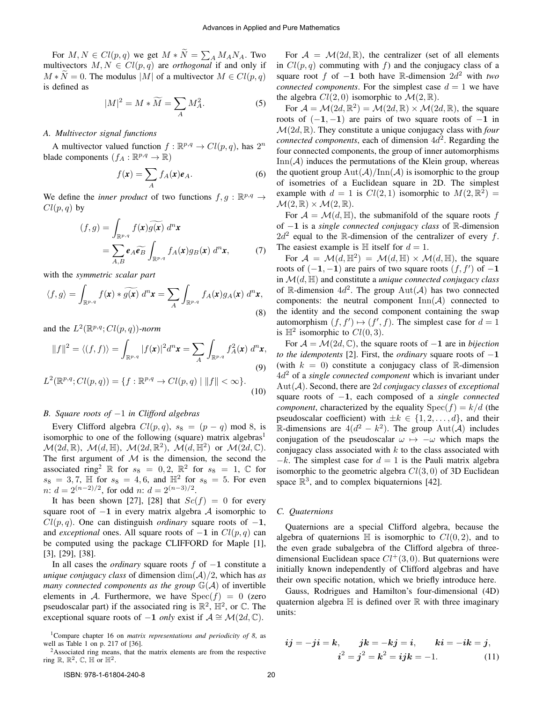For  $M, N \in Cl(p, q)$  we get  $M * N = \sum_{A} M_A N_A$ . Two multivectors  $M, N \in Cl(p, q)$  are *orthogonal* if and only if  $M*N=0$ . The modulus |M| of a multivector  $M\in Cl(p,q)$ is defined as

$$
|M|^2 = M * \widetilde{M} = \sum_A M_A^2.
$$
 (5)

## *A. Multivector signal functions*

A multivector valued function  $f : \mathbb{R}^{p,q} \to Cl(p,q)$ , has  $2^n$ blade components  $(f_A : \mathbb{R}^{p,q} \to \mathbb{R})$ 

$$
f(\mathbf{x}) = \sum_{A} f_A(\mathbf{x}) \mathbf{e}_A.
$$
 (6)

We define the *inner product* of two functions  $f, g : \mathbb{R}^{p,q} \to$  $Cl(p,q)$  by

$$
(f,g) = \int_{\mathbb{R}^{p,q}} f(\mathbf{x}) \widetilde{g(\mathbf{x})} \, d^n \mathbf{x}
$$

$$
= \sum_{A,B} \mathbf{e}_A \widetilde{\mathbf{e}_B} \int_{\mathbb{R}^{p,q}} f_A(\mathbf{x}) g_B(\mathbf{x}) \, d^n \mathbf{x}, \tag{7}
$$

with the *symmetric scalar part*

$$
\langle f, g \rangle = \int_{\mathbb{R}^{p,q}} f(\mathbf{x}) * \widetilde{g(\mathbf{x})} \, d^n \mathbf{x} = \sum_{A} \int_{\mathbb{R}^{p,q}} f_A(\mathbf{x}) g_A(\mathbf{x}) \, d^n \mathbf{x},\tag{8}
$$

and the  $L^2(\mathbb{R}^{p,q};Cl(p,q))$ -norm

$$
||f||^2 = \langle (f,f) \rangle = \int_{\mathbb{R}^{p,q}} |f(\mathbf{x})|^2 d^n \mathbf{x} = \sum_A \int_{\mathbb{R}^{p,q}} f_A^2(\mathbf{x}) d^n \mathbf{x},
$$
\n(9)

$$
L^{2}(\mathbb{R}^{p,q}; Cl(p,q)) = \{f : \mathbb{R}^{p,q} \to Cl(p,q) \mid ||f|| < \infty\}.
$$
\n(10)

## *B. Square roots of* −1 *in Clifford algebras*

Every Clifford algebra  $Cl(p,q)$ ,  $s_8 = (p-q) \mod 8$ , is isomorphic to one of the following (square) matrix algebras<sup>1</sup>  $\mathcal{M}(2d,\mathbb{R}),\; \mathcal{M}(d,\mathbb{H}),\; \mathcal{M}(2d,\mathbb{R}^2),\; \mathcal{M}(d,\mathbb{H}^2) \; \text{ or } \; \mathcal{M}(2d,\mathbb{C}).$ The first argument of  $M$  is the dimension, the second the associated ring<sup>2</sup> R for  $s_8 = 0, 2, \mathbb{R}^2$  for  $s_8 = 1, \mathbb{C}$  for  $s_8 = 3, 7, \, \mathbb{H}$  for  $s_8 = 4, 6, \, \text{and } \, \mathbb{H}^2$  for  $s_8 = 5$ . For even  $n: d = 2^{(n-2)/2}$ , for odd  $n: d = 2^{(n-3)/2}$ .

It has been shown [27], [28] that  $Sc(f) = 0$  for every square root of  $-1$  in every matrix algebra A isomorphic to  $Cl(p, q)$ . One can distinguish *ordinary* square roots of  $-1$ , and *exceptional* ones. All square roots of  $-1$  in  $Cl(p, q)$  can be computed using the package CLIFFORD for Maple [1], [3], [29], [38].

In all cases the *ordinary* square roots f of −1 constitute a *unique conjugacy class* of dimension dim(A)/2, which has *as many connected components as the group*  $\mathbb{G}(\mathcal{A})$  of invertible elements in A. Furthermore, we have  $Spec(f) = 0$  (zero pseudoscalar part) if the associated ring is  $\mathbb{R}^2$ ,  $\mathbb{H}^2$ , or  $\mathbb{C}$ . The exceptional square roots of  $-1$  *only* exist if  $A \cong \mathcal{M}(2d, \mathbb{C})$ .

For  $A = \mathcal{M}(2d, \mathbb{R})$ , the centralizer (set of all elements in  $Cl(p, q)$  commuting with f) and the conjugacy class of a square root f of  $-1$  both have R-dimension  $2d^2$  with *two connected components*. For the simplest case  $d = 1$  we have the algebra  $Cl(2,0)$  isomorphic to  $\mathcal{M}(2,\mathbb{R})$ .

For  $\mathcal{A} = \mathcal{M}(2d, \mathbb{R}^2) = \mathcal{M}(2d, \mathbb{R}) \times \mathcal{M}(2d, \mathbb{R})$ , the square roots of  $(-1, -1)$  are pairs of two square roots of  $-1$  in M(2d, R). They constitute a unique conjugacy class with *four connected components*, each of dimension  $4d^2$ . Regarding the four connected components, the group of inner automorphisms  $\text{Inn}(\mathcal{A})$  induces the permutations of the Klein group, whereas the quotient group  $Aut(\mathcal{A})/Im(\mathcal{A})$  is isomorphic to the group of isometries of a Euclidean square in 2D. The simplest example with  $d = 1$  is  $Cl(2, 1)$  isomorphic to  $M(2, \mathbb{R}^2) =$  $\mathcal{M}(2,\mathbb{R})\times\mathcal{M}(2,\mathbb{R}).$ 

For  $\mathcal{A} = \mathcal{M}(d, \mathbb{H})$ , the submanifold of the square roots f of −1 is a *single connected conjugacy class* of R-dimension  $2d^2$  equal to the R-dimension of the centralizer of every f. The easiest example is  $\mathbb H$  itself for  $d = 1$ .

For  $\mathcal{A} = \mathcal{M}(d, \mathbb{H}^2) = \mathcal{M}(d, \mathbb{H}) \times \mathcal{M}(d, \mathbb{H})$ , the square roots of  $(-1, -1)$  are pairs of two square roots  $(f, f')$  of  $-1$ in M(d, H) and constitute a *unique connected conjugacy class* of R-dimension  $4d^2$ . The group  $\text{Aut}(\mathcal{A})$  has two connected components: the neutral component  $\text{Inn}(\mathcal{A})$  connected to the identity and the second component containing the swap automorphism  $(f, f') \mapsto (f', f)$ . The simplest case for  $d = 1$ is  $\mathbb{H}^2$  isomorphic to  $Cl(0, 3)$ .

For  $A = \mathcal{M}(2d, \mathbb{C})$ , the square roots of  $-1$  are in *bijection to the idempotents* [2]. First, the *ordinary* square roots of −1 (with  $k = 0$ ) constitute a conjugacy class of R-dimension 4d <sup>2</sup> of a *single connected component* which is invariant under Aut(A). Second, there are 2d *conjugacy classes* of *exceptional* square roots of −1, each composed of a *single connected component*, characterized by the equality  $Spec(f) = k/d$  (the pseudoscalar coefficient) with  $\pm k \in \{1, 2, \ldots, d\}$ , and their  $\mathbb{R}$ -dimensions are 4( $d^2 - k^2$ ). The group Aut( $\hat{A}$ ) includes conjugation of the pseudoscalar  $\omega \mapsto -\omega$  which maps the conjugacy class associated with  $k$  to the class associated with  $-k$ . The simplest case for  $d = 1$  is the Pauli matrix algebra isomorphic to the geometric algebra  $Cl(3,0)$  of 3D Euclidean space  $\mathbb{R}^3$ , and to complex biquaternions [42].

## *C. Quaternions*

Quaternions are a special Clifford algebra, because the algebra of quaternions  $\mathbb H$  is isomorphic to  $Cl(0, 2)$ , and to the even grade subalgebra of the Clifford algebra of threedimensional Euclidean space  $Cl^+(3,0)$ . But quaternions were initially known independently of Clifford algebras and have their own specific notation, which we briefly introduce here.

Gauss, Rodrigues and Hamilton's four-dimensional (4D) quaternion algebra  $\mathbb H$  is defined over  $\mathbb R$  with three imaginary units:

$$
ij = -ji = k
$$
,  $jk = -kj = i$ ,  $ki = -ik = j$ ,  
 $i^2 = j^2 = k^2 = ijk = -1$ . (11)

<sup>1</sup>Compare chapter 16 on *matrix representations and periodicity of 8*, as well as Table 1 on p. 217 of [36].

 $2$ Associated ring means, that the matrix elements are from the respective ring  $\mathbb{R}$ ,  $\mathbb{R}^2$ ,  $\mathbb{C}$ ,  $\mathbb{H}$  or  $\mathbb{H}^2$ .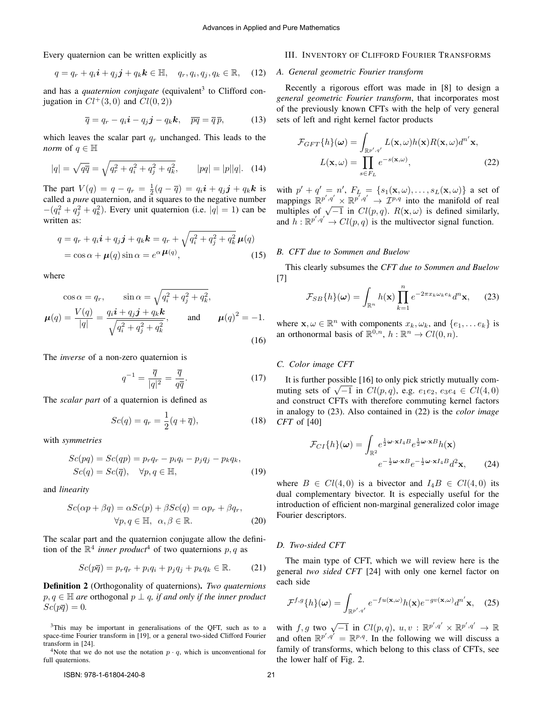Every quaternion can be written explicitly as

$$
q = q_r + q_i \mathbf{i} + q_j \mathbf{j} + q_k \mathbf{k} \in \mathbb{H}, \quad q_r, q_i, q_j, q_k \in \mathbb{R}, \quad (12)
$$

and has a *quaternion conjugate* (equivalent<sup>3</sup> to Clifford conjugation in  $Cl^+(3,0)$  and  $Cl(0, 2)$ )

$$
\overline{q} = q_r - q_i \mathbf{i} - q_j \mathbf{j} - q_k \mathbf{k}, \quad \overline{pq} = \overline{q} \, \overline{p}, \tag{13}
$$

which leaves the scalar part  $q_r$  unchanged. This leads to the *norm* of  $q \in \mathbb{H}$ 

$$
|q| = \sqrt{q\overline{q}} = \sqrt{q_r^2 + q_i^2 + q_j^2 + q_k^2}, \qquad |pq| = |p||q|. \quad (14)
$$

The part  $V(q) = q - q_r = \frac{1}{2}(q - \overline{q}) = q_i \mathbf{i} + q_j \mathbf{j} + q_k \mathbf{k}$  is called a *pure* quaternion, and it squares to the negative number  $-(q_i^2 + q_j^2 + q_k^2)$ . Every unit quaternion (i.e.  $|q| = 1$ ) can be written as:

$$
q = q_r + q_i \mathbf{i} + q_j \mathbf{j} + q_k \mathbf{k} = q_r + \sqrt{q_i^2 + q_j^2 + q_k^2} \mu(q)
$$
  
=  $\cos \alpha + \mu(q) \sin \alpha = e^{\alpha} \mu(q)$ , (15)

where

$$
\cos \alpha = q_r, \qquad \sin \alpha = \sqrt{q_i^2 + q_j^2 + q_k^2},
$$
  

$$
\mu(q) = \frac{V(q)}{|q|} = \frac{q_i \mathbf{i} + q_j \mathbf{j} + q_k \mathbf{k}}{\sqrt{q_i^2 + q_j^2 + q_k^2}}, \qquad \text{and} \qquad \mu(q)^2 = -1.
$$
 (16)

The *inverse* of a non-zero quaternion is

$$
q^{-1} = \frac{\overline{q}}{|q|^2} = \frac{\overline{q}}{q\overline{q}}.\tag{17}
$$

The *scalar part* of a quaternion is defined as

$$
Sc(q) = q_r = \frac{1}{2}(q + \overline{q}),
$$
\n(18)

with *symmetries*

$$
Sc(pq) = Sc(qp) = p_r q_r - p_i q_i - p_j q_j - p_k q_k,
$$
  
\n
$$
Sc(q) = Sc(\overline{q}), \quad \forall p, q \in \mathbb{H},
$$
\n(19)

and *linearity*

$$
Sc(\alpha p + \beta q) = \alpha Sc(p) + \beta Sc(q) = \alpha p_r + \beta q_r,
$$
  

$$
\forall p, q \in \mathbb{H}, \ \alpha, \beta \in \mathbb{R}.
$$
 (20)

The scalar part and the quaternion conjugate allow the definition of the  $\mathbb{R}^4$  *inner product*<sup>4</sup> of two quaternions p, q as

$$
Sc(p\overline{q}) = p_r q_r + p_i q_i + p_j q_j + p_k q_k \in \mathbb{R}.
$$
 (21)

Definition 2 (Orthogonality of quaternions). *Two quaternions*  $p, q \in \mathbb{H}$  are orthogonal  $p \perp q$ , if and only if the inner product  $Sc(p\overline{q})=0.$ 

<sup>4</sup>Note that we do not use the notation  $p \cdot q$ , which is unconventional for full quaternions.

## III. INVENTORY OF CLIFFORD FOURIER TRANSFORMS

#### *A. General geometric Fourier transform*

Recently a rigorous effort was made in [8] to design a *general geometric Fourier transform*, that incorporates most of the previously known CFTs with the help of very general sets of left and right kernel factor products

$$
\mathcal{F}_{GFT}\{h\}(\omega) = \int_{\mathbb{R}^{p',q'}} L(\mathbf{x}, \omega) h(\mathbf{x}) R(\mathbf{x}, \omega) d^{n'} \mathbf{x},
$$

$$
L(\mathbf{x}, \omega) = \prod_{s \in F_L} e^{-s(\mathbf{x}, \omega)},
$$
(22)

with  $p' + q' = n'$ ,  $F_L = \{s_1(\mathbf{x}, \omega), \ldots, s_L(\mathbf{x}, \omega)\}\)$  a set of mappings  $\mathbb{R}^{p',q'} \times \mathbb{R}^{p',q'} \to \mathcal{I}^{p,q}$  into the manifold of real mappings  $\mathbb{R}^{p \times q} \times \mathbb{R}^{p \times q} \to L^{p \times q}$  into the manifold of real multiples of  $\sqrt{-1}$  in  $Cl(p, q)$ .  $R(\mathbf{x}, \omega)$  is defined similarly, and  $h: \mathbb{R}^{p', q'} \to Cl(p, q)$  is the multivector signal function.

## *B. CFT due to Sommen and Buelow*

This clearly subsumes the *CFT due to Sommen and Buelow* [7]

$$
\mathcal{F}_{SB}\{h\}(\omega) = \int_{\mathbb{R}^n} h(\mathbf{x}) \prod_{k=1}^n e^{-2\pi x_k \omega_k e_k} d^n \mathbf{x}, \qquad (23)
$$

where  $\mathbf{x}, \omega \in \mathbb{R}^n$  with components  $x_k, \omega_k$ , and  $\{e_1, \dots e_k\}$  is an orthonormal basis of  $\mathbb{R}^{0,n}$ ,  $h : \mathbb{R}^n \to Cl(0,n)$ .

#### *C. Color image CFT*

It is further possible [16] to only pick strictly mutually com-It is further possible [10] to only pick strictly indicating com-<br>mutting sets of  $\sqrt{-1}$  in  $Cl(p, q)$ , e.g.  $e_1e_2$ ,  $e_3e_4 \in Cl(4, 0)$ and construct CFTs with therefore commuting kernel factors in analogy to (23). Also contained in (22) is the *color image CFT* of [40]

$$
\mathcal{F}_{CI}\{h\}(\omega) = \int_{\mathbb{R}^2} e^{\frac{1}{2}\omega \cdot \mathbf{x} I_4 B} e^{\frac{1}{2}\omega \cdot \mathbf{x} B} h(\mathbf{x}) \ne^{-\frac{1}{2}\omega \cdot \mathbf{x} B} e^{-\frac{1}{2}\omega \cdot \mathbf{x} I_4 B} d^2 \mathbf{x},
$$
\n(24)

where  $B \in Cl(4,0)$  is a bivector and  $I_4B \in Cl(4,0)$  its dual complementary bivector. It is especially useful for the introduction of efficient non-marginal generalized color image Fourier descriptors.

#### *D. Two-sided CFT*

The main type of CFT, which we will review here is the general *two sided CFT* [24] with only one kernel factor on each side

$$
\mathcal{F}^{f,g}\{h\}(\omega) = \int_{\mathbb{R}^{p',q'}} e^{-fu(\mathbf{x},\omega)}h(\mathbf{x})e^{-gv(\mathbf{x},\omega)}d^{n'}\mathbf{x}, \quad (25)
$$

with  $f, g$  two  $\sqrt{-1}$  in  $Cl(p, q), u, v : \mathbb{R}^{p', q'} \times \mathbb{R}^{p', q'} \to \mathbb{R}$ and often  $\mathbb{R}^{p',q'} = \mathbb{R}^{p,q}$ . In the following we will discuss a family of transforms, which belong to this class of CFTs, see the lower half of Fig. 2.

<sup>&</sup>lt;sup>3</sup>This may be important in generalisations of the QFT, such as to a space-time Fourier transform in [19], or a general two-sided Clifford Fourier transform in [24].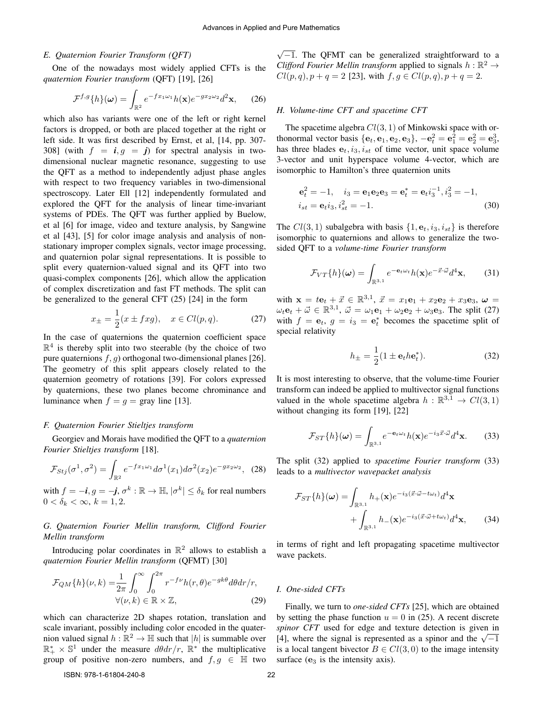#### *E. Quaternion Fourier Transform (QFT)*

One of the nowadays most widely applied CFTs is the *quaternion Fourier transform* (QFT) [19], [26]

$$
\mathcal{F}^{f,g}\{h\}(\omega) = \int_{\mathbb{R}^2} e^{-fx_1\omega_1} h(\mathbf{x}) e^{-gx_2\omega_2} d^2\mathbf{x},\qquad(26)
$$

which also has variants were one of the left or right kernel factors is dropped, or both are placed together at the right or left side. It was first described by Ernst, et al, [14, pp. 307- 308] (with  $f = i, g = j$ ) for spectral analysis in twodimensional nuclear magnetic resonance, suggesting to use the QFT as a method to independently adjust phase angles with respect to two frequency variables in two-dimensional spectroscopy. Later Ell [12] independently formulated and explored the QFT for the analysis of linear time-invariant systems of PDEs. The QFT was further applied by Buelow, et al [6] for image, video and texture analysis, by Sangwine et al [43], [5] for color image analysis and analysis of nonstationary improper complex signals, vector image processing, and quaternion polar signal representations. It is possible to split every quaternion-valued signal and its QFT into two quasi-complex components [26], which allow the application of complex discretization and fast FT methods. The split can be generalized to the general CFT (25) [24] in the form

$$
x_{\pm} = \frac{1}{2}(x \pm f x g), \quad x \in Cl(p, q). \tag{27}
$$

In the case of quaternions the quaternion coefficient space  $\mathbb{R}^4$  is thereby split into two steerable (by the choice of two pure quaternions  $f$ , g) orthogonal two-dimensional planes [26]. The geometry of this split appears closely related to the quaternion geometry of rotations [39]. For colors expressed by quaternions, these two planes become chrominance and luminance when  $f = g = \text{gray line } [13]$ .

#### *F. Quaternion Fourier Stieltjes transform*

Georgiev and Morais have modified the QFT to a *quaternion Fourier Stieltjes transform* [18].

$$
\mathcal{F}_{Stj}(\sigma^1, \sigma^2) = \int_{\mathbb{R}^2} e^{-fx_1\omega_1} d\sigma^1(x_1) d\sigma^2(x_2) e^{-gx_2\omega_2}, \tag{28}
$$

with  $f = -\textbf{\textit{i}}, g = -\textbf{\textit{j}}, \sigma^k : \mathbb{R} \to \mathbb{H}, |\sigma^k| \leq \delta_k$  for real numbers  $0 < \delta_k < \infty$ ,  $k = 1, 2$ .

## *G. Quaternion Fourier Mellin transform, Clifford Fourier Mellin transform*

Introducing polar coordinates in  $\mathbb{R}^2$  allows to establish a *quaternion Fourier Mellin transform* (QFMT) [30]

$$
\mathcal{F}_{QM}\{h\}(\nu,k) = \frac{1}{2\pi} \int_0^\infty \int_0^{2\pi} r^{-f\nu} h(r,\theta) e^{-gk\theta} d\theta dr/r, \forall (\nu,k) \in \mathbb{R} \times \mathbb{Z},
$$
\n(29)

which can characterize 2D shapes rotation, translation and scale invariant, possibly including color encoded in the quaternion valued signal  $h : \mathbb{R}^2 \to \mathbb{H}$  such that  $|h|$  is summable over  $\mathbb{R}_+^* \times \mathbb{S}^1$  under the measure  $d\theta dr/r$ ,  $\mathbb{R}^*$  the multiplicative group of positive non-zero numbers, and  $f, g \in \mathbb{H}$  two

 $\sqrt{-1}$ . The QFMT can be generalized straightforward to a *Clifford Fourier Mellin transform* applied to signals  $h : \mathbb{R}^2 \to$  $Cl(p, q), p + q = 2$  [23], with  $f, g \in Cl(p, q), p + q = 2$ .

#### *H. Volume-time CFT and spacetime CFT*

The spacetime algebra  $Cl(3, 1)$  of Minkowski space with orthonormal vector basis  $\{e_t, e_1, e_2, e_3\}, -e_t^2 = e_1^2 = e_2^2 = e_3^3$ , has three blades  $e_t$ ,  $i_3$ ,  $i_{st}$  of time vector, unit space volume 3-vector and unit hyperspace volume 4-vector, which are isomorphic to Hamilton's three quaternion units

$$
\mathbf{e}_t^2 = -1, \quad i_3 = \mathbf{e}_1 \mathbf{e}_2 \mathbf{e}_3 = \mathbf{e}_t^* = \mathbf{e}_t i_3^{-1}, i_3^2 = -1, i_{st} = \mathbf{e}_t i_3, i_{st}^2 = -1.
$$
 (30)

The  $Cl(3, 1)$  subalgebra with basis  $\{1, e_t, i_3, i_{st}\}\$ is therefore isomorphic to quaternions and allows to generalize the twosided QFT to a *volume-time Fourier transform*

$$
\mathcal{F}_{VT}\{h\}(\boldsymbol{\omega}) = \int_{\mathbb{R}^{3,1}} e^{-\mathbf{e}_t \omega_t} h(\mathbf{x}) e^{-\vec{x} \cdot \vec{\omega}} d^4 \mathbf{x},\qquad(31)
$$

with  $\mathbf{x} = t\mathbf{e}_t + \vec{x} \in \mathbb{R}^{3,1}$ ,  $\vec{x} = x_1\mathbf{e}_1 + x_2\mathbf{e}_2 + x_3\mathbf{e}_3$ ,  $\boldsymbol{\omega} =$  $\omega_t \mathbf{e}_t + \vec{\omega} \in \mathbb{R}^{3,1}$ ,  $\vec{\omega} = \omega_1 \mathbf{e}_1 + \omega_2 \mathbf{e}_2 + \omega_3 \mathbf{e}_3$ . The split (27) with  $f = e_t$ ,  $g = i_3 = e_t^*$  becomes the spacetime split of special relativity

$$
h_{\pm} = \frac{1}{2} (1 \pm \mathbf{e}_t h \mathbf{e}_t^*). \tag{32}
$$

It is most interesting to observe, that the volume-time Fourier transform can indeed be applied to multivector signal functions valued in the whole spacetime algebra  $h : \mathbb{R}^{3,1} \to Cl(3,1)$ without changing its form [19], [22]

$$
\mathcal{F}_{ST}\{h\}(\boldsymbol{\omega}) = \int_{\mathbb{R}^{3,1}} e^{-\mathbf{e}_t \omega_t} h(\mathbf{x}) e^{-i_3 \vec{x} \cdot \vec{\omega}} d^4 \mathbf{x}.
$$
 (33)

The split (32) applied to *spacetime Fourier transform* (33) leads to a *multivector wavepacket analysis*

$$
\mathcal{F}_{ST}\lbrace h \rbrace(\omega) = \int_{\mathbb{R}^{3,1}} h_{+}(\mathbf{x})e^{-i_{3}(\vec{x}\cdot\vec{\omega}-t\omega_{t})}d^{4}\mathbf{x} + \int_{\mathbb{R}^{3,1}} h_{-}(\mathbf{x})e^{-i_{3}(\vec{x}\cdot\vec{\omega}+t\omega_{t})}d^{4}\mathbf{x}, \qquad (34)
$$

in terms of right and left propagating spacetime multivector wave packets.

## *I. One-sided CFTs*

Finally, we turn to *one-sided CFTs* [25], which are obtained by setting the phase function  $u = 0$  in (25). A recent discrete *spinor CFT* used for edge and texture detection is given in *spinor* CPT used for edge and texture detection is given in [4], where the signal is represented as a spinor and the  $\sqrt{-1}$ is a local tangent bivector  $B \in Cl(3,0)$  to the image intensity surface  $(e_3$  is the intensity axis).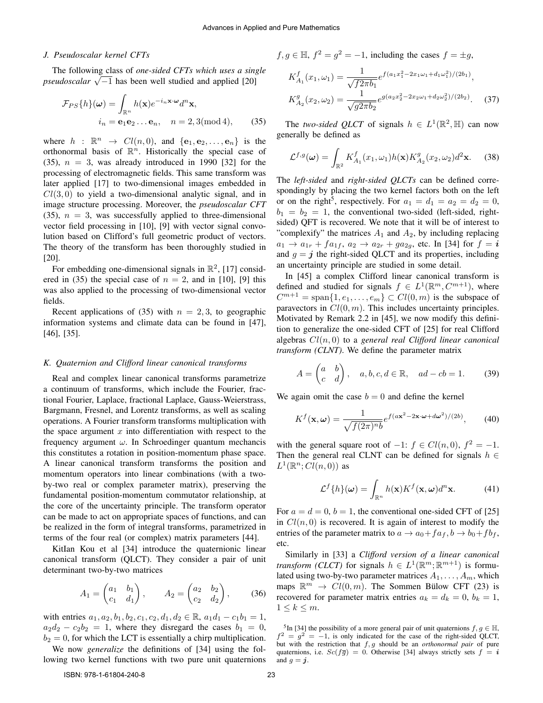#### *J. Pseudoscalar kernel CFTs*

The following class of *one-sided CFTs which uses a single pseudoscalar* <sup>√</sup> −1 has been well studied and applied [20]

$$
\mathcal{F}_{PS}\{h\}(\omega) = \int_{\mathbb{R}^n} h(\mathbf{x})e^{-i_n \mathbf{x} \cdot \omega} d^n \mathbf{x},
$$

$$
i_n = \mathbf{e}_1 \mathbf{e}_2 \dots \mathbf{e}_n, \quad n = 2, 3 \text{(mod 4)}, \tag{35}
$$

where  $h : \mathbb{R}^n \to Cl(n,0)$ , and  $\{e_1, e_2, \ldots, e_n\}$  is the orthonormal basis of  $\mathbb{R}^n$ . Historically the special case of (35),  $n = 3$ , was already introduced in 1990 [32] for the processing of electromagnetic fields. This same transform was later applied [17] to two-dimensional images embedded in  $Cl(3, 0)$  to yield a two-dimensional analytic signal, and in image structure processing. Moreover, the *pseudoscalar CFT* (35),  $n = 3$ , was successfully applied to three-dimensional vector field processing in [10], [9] with vector signal convolution based on Clifford's full geometric product of vectors. The theory of the transform has been thoroughly studied in [20].

For embedding one-dimensional signals in  $\mathbb{R}^2$ , [17] considered in (35) the special case of  $n = 2$ , and in [10], [9] this was also applied to the processing of two-dimensional vector fields.

Recent applications of (35) with  $n = 2, 3$ , to geographic information systems and climate data can be found in [47], [46], [35].

#### *K. Quaternion and Clifford linear canonical transforms*

Real and complex linear canonical transforms parametrize a continuum of transforms, which include the Fourier, fractional Fourier, Laplace, fractional Laplace, Gauss-Weierstrass, Bargmann, Fresnel, and Lorentz transforms, as well as scaling operations. A Fourier transform transforms multiplication with the space argument  $x$  into differentiation with respect to the frequency argument  $\omega$ . In Schroedinger quantum mechancis this constitutes a rotation in position-momentum phase space. A linear canonical transform transforms the position and momentum operators into linear combinations (with a twoby-two real or complex parameter matrix), preserving the fundamental position-momentum commutator relationship, at the core of the uncertainty principle. The transform operator can be made to act on appropriate spaces of functions, and can be realized in the form of integral transforms, parametrized in terms of the four real (or complex) matrix parameters [44].

KitIan Kou et al [34] introduce the quaternionic linear canonical transform (QLCT). They consider a pair of unit determinant two-by-two matrices

$$
A_1 = \begin{pmatrix} a_1 & b_1 \\ c_1 & d_1 \end{pmatrix}, \qquad A_2 = \begin{pmatrix} a_2 & b_2 \\ c_2 & d_2 \end{pmatrix}, \qquad (36)
$$

with entries  $a_1, a_2, b_1, b_2, c_1, c_2, d_1, d_2 \in \mathbb{R}, a_1d_1 - c_1b_1 = 1$ ,  $a_2d_2 - c_2b_2 = 1$ , where they disregard the cases  $b_1 = 0$ ,  $b_2 = 0$ , for which the LCT is essentially a chirp multiplication.

We now *generalize* the definitions of [34] using the following two kernel functions with two pure unit quaternions  $f, g \in \mathbb{H}, f^2 = g^2 = -1$ , including the cases  $f = \pm g$ ,

$$
K_{A_1}^f(x_1, \omega_1) = \frac{1}{\sqrt{f2\pi b_1}} e^{f(a_1x_1^2 - 2x_1\omega_1 + d_1\omega_1^2)/(2b_1)},
$$
  
\n
$$
K_{A_2}^g(x_2, \omega_2) = \frac{1}{\sqrt{g2\pi b_2}} e^{g(a_2x_2^2 - 2x_2\omega_1 + d_2\omega_2^2)/(2b_2)}.
$$
\n(37)

The *two-sided QLCT* of signals  $h \in L^1(\mathbb{R}^2, \mathbb{H})$  can now generally be defined as

$$
\mathcal{L}^{f,g}(\omega) = \int_{\mathbb{R}^2} K_{A_1}^f(x_1,\omega_1) h(\mathbf{x}) K_{A_2}^g(x_2,\omega_2) d^2 \mathbf{x}.
$$
 (38)

The *left-sided* and *right-sided QLCTs* can be defined correspondingly by placing the two kernel factors both on the left or on the right<sup>5</sup>, respectively. For  $a_1 = d_1 = a_2 = d_2 = 0$ ,  $b_1 = b_2 = 1$ , the conventional two-sided (left-sided, rightsided) QFT is recovered. We note that it will be of interest to "complexify" the matrices  $A_1$  and  $A_2$ , by including replacing  $a_1 \to a_{1r} + fa_{1f}, a_2 \to a_{2r} + ga_{2g},$  etc. In [34] for  $f = i$ and  $g = j$  the right-sided QLCT and its properties, including an uncertainty principle are studied in some detail.

In [45] a complex Clifford linear canonical transform is defined and studied for signals  $f \in L^1(\mathbb{R}^m, C^{m+1})$ , where  $C^{m+1} = \text{span}\{1, e_1, \ldots, e_m\} \subset Cl(0, m)$  is the subspace of paravectors in  $Cl(0, m)$ . This includes uncertainty principles. Motivated by Remark 2.2 in [45], we now modify this definition to generalize the one-sided CFT of [25] for real Clifford algebras Cl(n, 0) to a *general real Clifford linear canonical transform (CLNT)*. We define the parameter matrix

$$
A = \begin{pmatrix} a & b \\ c & d \end{pmatrix}, \quad a, b, c, d \in \mathbb{R}, \quad ad - cb = 1.
$$
 (39)

We again omit the case  $b = 0$  and define the kernel

$$
K^{f}(\mathbf{x}, \omega) = \frac{1}{\sqrt{f(2\pi)^{n}b}} e^{f(a\mathbf{x}^{2} - 2\mathbf{x} \cdot \omega + d\omega^{2})/(2b)},
$$
 (40)

with the general square root of  $-1$ :  $f \in Cl(n,0)$ ,  $f^2 = -1$ . Then the general real CLNT can be defined for signals  $h \in$  $L^1(\mathbb{R}^n; Cl(n,0))$  as

$$
\mathcal{L}^f\{h\}(\omega) = \int_{\mathbb{R}^n} h(\mathbf{x}) K^f(\mathbf{x}, \omega) d^n \mathbf{x}.
$$
 (41)

For  $a = d = 0$ ,  $b = 1$ , the conventional one-sided CFT of [25] in  $Cl(n, 0)$  is recovered. It is again of interest to modify the entries of the parameter matrix to  $a \to a_0 + fa_f$ ,  $b \to b_0 + fb_f$ , etc.

Similarly in [33] a *Clifford version of a linear canonical transform (CLCT)* for signals  $h \in L^1(\mathbb{R}^m; \mathbb{R}^{m+1})$  is formulated using two-by-two parameter matrices  $A_1, \ldots, A_m$ , which maps  $\mathbb{R}^m \to Cl(0,m)$ . The Sommen Bülow CFT (23) is recovered for parameter matrix entries  $a_k = d_k = 0, b_k = 1$ ,  $1 \leq k \leq m$ .

<sup>5</sup>In [34] the possibility of a more general pair of unit quaternions  $f, g \in \mathbb{H}$ ,  $f^2 = g^2 = -1$ , is only indicated for the case of the right-sided QLCT, but with the restriction that f, g should be an *orthonormal pair* of pure quaternions, i.e.  $Sc(f\overline{g}) = 0$ . Otherwise [34] always strictly sets  $f = i$ and  $g = j$ .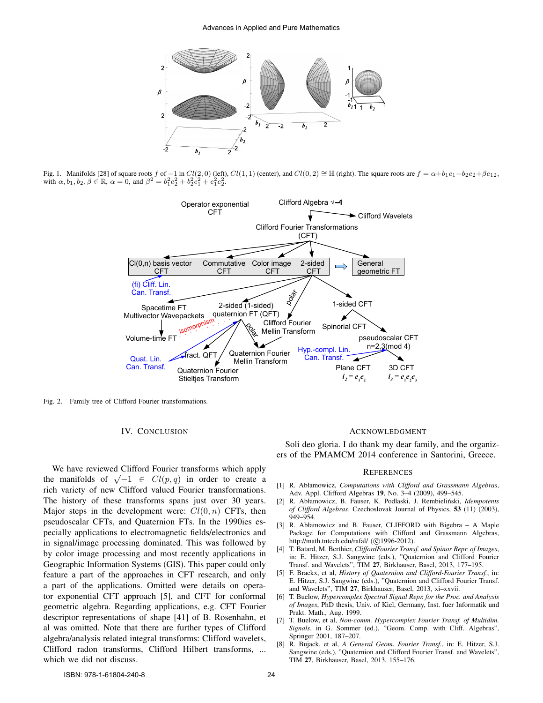

Fig. 1. Manifolds [28] of square roots f of  $-1$  in  $Cl(2, 0)$  (left),  $Cl(1, 1)$  (center), and  $Cl(0, 2) \cong \mathbb{H}$  (right). The square roots are  $f = \alpha + b_1e_1 + b_2e_2 + \beta e_{12}$ , with  $\alpha, b_1, b_2, \beta \in \mathbb{R}$ ,  $\alpha = 0$ , and  $\beta^2 = b_1^2 e_2^2 + b_2^2 e_1^2 + e_1^2 e_2^2$ .



Fig. 2. Family tree of Clifford Fourier transformations.

## IV. CONCLUSION

We have reviewed Clifford Fourier transforms which apply we have reviewed Chilord Fourier transforms which apply<br>the manifolds of  $\sqrt{-1} \in Cl(p,q)$  in order to create a rich variety of new Clifford valued Fourier transformations. The history of these transforms spans just over 30 years. Major steps in the development were:  $Cl(0, n)$  CFTs, then pseudoscalar CFTs, and Quaternion FTs. In the 1990ies especially applications to electromagnetic fields/electronics and in signal/image processing dominated. This was followed by by color image processing and most recently applications in Geographic Information Systems (GIS). This paper could only feature a part of the approaches in CFT research, and only a part of the applications. Omitted were details on operator exponential CFT approach [5], and CFT for conformal geometric algebra. Regarding applications, e.g. CFT Fourier descriptor representations of shape [41] of B. Rosenhahn, et al was omitted. Note that there are further types of Clifford algebra/analysis related integral transforms: Clifford wavelets, Clifford radon transforms, Clifford Hilbert transforms, ... which we did not discuss.

#### ACKNOWLEDGMENT

Soli deo gloria. I do thank my dear family, and the organizers of the PMAMCM 2014 conference in Santorini, Greece.

#### **REFERENCES**

- [1] R. Abłamowicz, *Computations with Clifford and Grassmann Algebras*, Adv. Appl. Clifford Algebras 19, No. 3–4 (2009), 499–545.
- [2] R. Abłamowicz, B. Fauser, K. Podlaski, J. Rembieliński, *Idempotents of Clifford Algebras*. Czechoslovak Journal of Physics, 53 (11) (2003), 949–954.
- [3] R. Abłamowicz and B. Fauser, CLIFFORD with Bigebra A Maple Package for Computations with Clifford and Grassmann Algebras, http://math.tntech.edu/rafal/ (©1996-2012).
- [4] T. Batard, M. Berthier, *CliffordFourier Transf. and Spinor Repr. of Images*, in: E. Hitzer, S.J. Sangwine (eds.), "Quaternion and Clifford Fourier Transf. and Wavelets", TIM 27, Birkhauser, Basel, 2013, 177–195.
- [5] F. Brackx, et al, *History of Quaternion and Clifford-Fourier Transf.*, in: E. Hitzer, S.J. Sangwine (eds.), "Quaternion and Clifford Fourier Transf. and Wavelets", TIM 27, Birkhauser, Basel, 2013, xi–xxvii.
- [6] T. Buelow, *Hypercomplex Spectral Signal Repr. for the Proc. and Analysis of Images*, PhD thesis, Univ. of Kiel, Germany, Inst. fuer Informatik und Prakt. Math., Aug. 1999.
- [7] T. Buelow, et al, *Non-comm. Hypercomplex Fourier Transf. of Multidim. Signals*, in G. Sommer (ed.), "Geom. Comp. with Cliff. Algebras", Springer 2001, 187–207.
- [8] R. Bujack, et al, *A General Geom. Fourier Transf.*, in: E. Hitzer, S.J. Sangwine (eds.), "Quaternion and Clifford Fourier Transf. and Wavelets", TIM 27, Birkhauser, Basel, 2013, 155–176.